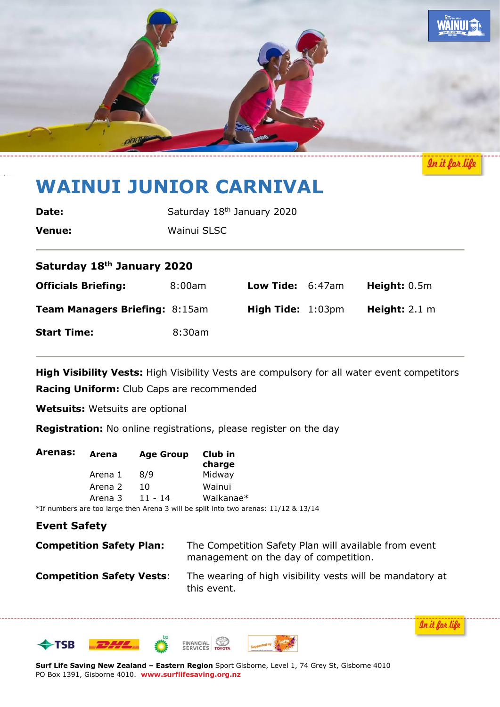

In it for lif

# **WAINUI JUNIOR CARNIVAL**

| Date:         | Saturday 18 <sup>th</sup> January 2020 |
|---------------|----------------------------------------|
| <b>Venue:</b> | Wainui SLSC                            |

# **Saturday 18th January 2020**

| <b>Officials Briefing:</b>            | $8:00$ am | <b>Low Tide:</b> $6:47am$          | Height: $0.5m$          |
|---------------------------------------|-----------|------------------------------------|-------------------------|
| <b>Team Managers Briefing: 8:15am</b> |           | <b>High Tide:</b> $1:03 \text{pm}$ | Height: $2.1 \text{ m}$ |
| <b>Start Time:</b>                    | 8:30am    |                                    |                         |

**High Visibility Vests:** High Visibility Vests are compulsory for all water event competitors

**Racing Uniform:** Club Caps are recommended

**Wetsuits:** Wetsuits are optional

**Registration:** No online registrations, please register on the day

| Arenas: | Arena   | <b>Age Group</b> | Club in<br>charge                                                                     |
|---------|---------|------------------|---------------------------------------------------------------------------------------|
|         | Arena 1 | 8/9              | Midway                                                                                |
|         | Arena 2 | 10               | Wainui                                                                                |
|         | Arena 3 | 11 - 14          | Waikanae*                                                                             |
|         |         |                  | $*$ If numbers are too large than Arena 2 will be split into two arenas 11/12 8, 12/1 |

\*If numbers are too large then Arena 3 will be split into two arenas: 11/12 & 13/14

## **Event Safety**

| <b>Competition Safety Plan:</b> | The Competition Safety Plan will available from event |  |
|---------------------------------|-------------------------------------------------------|--|
|                                 | management on the day of competition.                 |  |

**Competition Safety Vests:** The wearing of high visibility vests will be mandatory at this event.



<u>In it for lif</u>

**Surf Life Saving New Zealand – Eastern Region** Sport Gisborne, Level 1, 74 Grey St, Gisborne 4010 PO Box 1391, Gisborne 4010. **www.surflifesaving.org.nz**